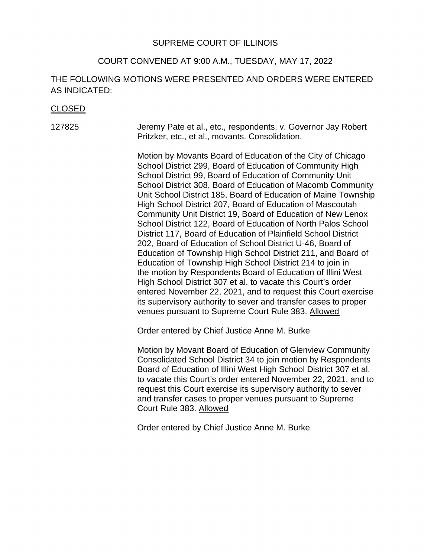# SUPREME COURT OF ILLINOIS

## COURT CONVENED AT 9:00 A.M., TUESDAY, MAY 17, 2022

# THE FOLLOWING MOTIONS WERE PRESENTED AND ORDERS WERE ENTERED AS INDICATED:

#### CLOSED

#### 127825 Jeremy Pate et al., etc., respondents, v. Governor Jay Robert Pritzker, etc., et al., movants. Consolidation.

 District 117, Board of Education of Plainfield School District 202, Board of Education of School District U-46, Board of Motion by Movants Board of Education of the City of Chicago School District 299, Board of Education of Community High School District 99, Board of Education of Community Unit School District 308, Board of Education of Macomb Community Unit School District 185, Board of Education of Maine Township High School District 207, Board of Education of Mascoutah Community Unit District 19, Board of Education of New Lenox School District 122, Board of Education of North Palos School Education of Township High School District 211, and Board of Education of Township High School District 214 to join in the motion by Respondents Board of Education of Illini West High School District 307 et al. to vacate this Court's order entered November 22, 2021, and to request this Court exercise its supervisory authority to sever and transfer cases to proper venues pursuant to Supreme Court Rule 383. Allowed

Order entered by Chief Justice Anne M. Burke

Court Rule 383. Allowed Motion by Movant Board of Education of Glenview Community Consolidated School District 34 to join motion by Respondents Board of Education of Illini West High School District 307 et al. to vacate this Court's order entered November 22, 2021, and to request this Court exercise its supervisory authority to sever and transfer cases to proper venues pursuant to Supreme

Order entered by Chief Justice Anne M. Burke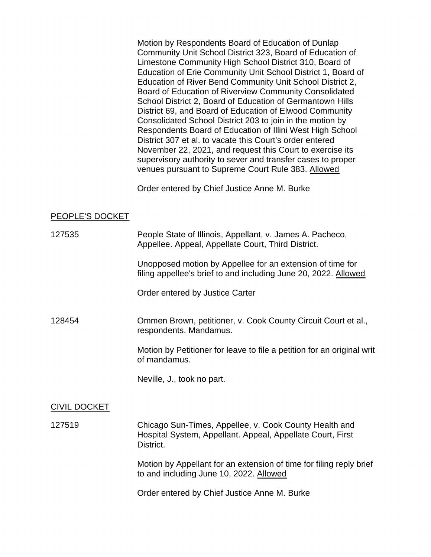Community Unit School District 323, Board of Education of Board of Education of Riverview Community Consolidated Respondents Board of Education of Illini West High School District 307 et al. to vacate this Court's order entered Motion by Respondents Board of Education of Dunlap Limestone Community High School District 310, Board of Education of Erie Community Unit School District 1, Board of Education of River Bend Community Unit School District 2, School District 2, Board of Education of Germantown Hills District 69, and Board of Education of Elwood Community Consolidated School District 203 to join in the motion by November 22, 2021, and request this Court to exercise its supervisory authority to sever and transfer cases to proper venues pursuant to Supreme Court Rule 383. Allowed

Order entered by Chief Justice Anne M. Burke

## PEOPLE'S DOCKET

127535 People State of Illinois, Appellant, v. James A. Pacheco, Appellee. Appeal, Appellate Court, Third District.

> Unopposed motion by Appellee for an extension of time for filing appellee's brief to and including June 20, 2022. Allowed

Order entered by Justice Carter

128454 Ommen Brown, petitioner, v. Cook County Circuit Court et al., respondents. Mandamus.

> Motion by Petitioner for leave to file a petition for an original writ of mandamus.

Neville, J., took no part.

# CIVIL DOCKET

127519 Chicago Sun-Times, Appellee, v. Cook County Health and Hospital System, Appellant. Appeal, Appellate Court, First District.

> Motion by Appellant for an extension of time for filing reply brief to and including June 10, 2022. Allowed

Order entered by Chief Justice Anne M. Burke